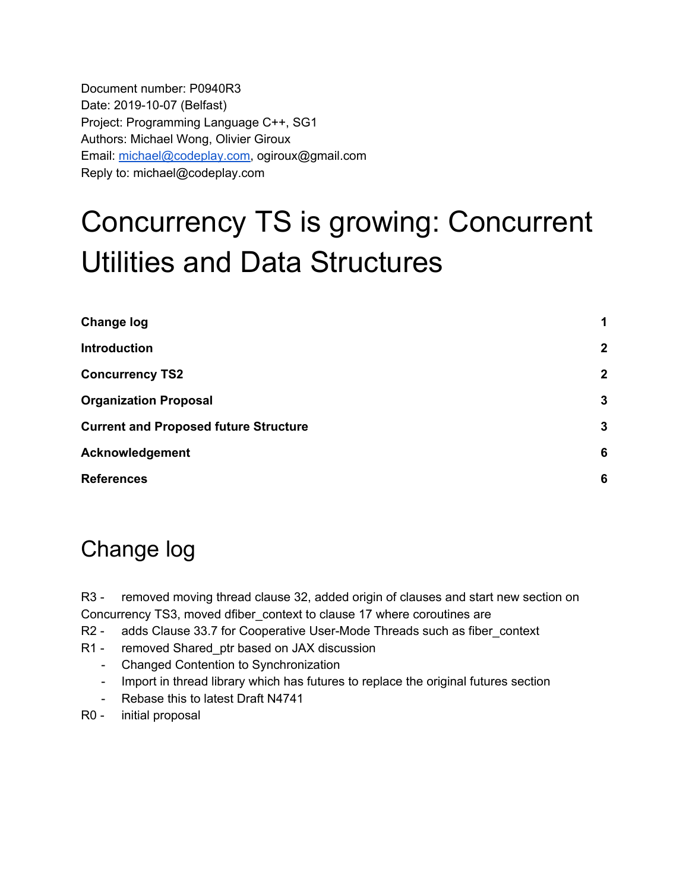Document number: P0940R3 Date: 2019-10-07 (Belfast) Project: Programming Language C++, SG1 Authors: Michael Wong, Olivier Giroux Email: [michael@codeplay.com,](mailto:michael@codeplay.com) ogiroux@gmail.com Reply to: michael@codeplay.com

# Concurrency TS is growing: Concurrent Utilities and Data Structures

| <b>Change log</b>                            | 1            |
|----------------------------------------------|--------------|
| <b>Introduction</b>                          | $\mathbf{2}$ |
| <b>Concurrency TS2</b>                       | $\mathbf{2}$ |
| <b>Organization Proposal</b>                 | $\mathbf{3}$ |
| <b>Current and Proposed future Structure</b> | 3            |
| <b>Acknowledgement</b>                       | 6            |
| <b>References</b>                            | 6            |

# <span id="page-0-0"></span>Change log

R3 - removed moving thread clause 32, added origin of clauses and start new section on Concurrency TS3, moved dfiber\_context to clause 17 where coroutines are

- R2 adds Clause 33.7 for Cooperative User-Mode Threads such as fiber\_context
- R1 removed Shared\_ptr based on JAX discussion
	- Changed Contention to Synchronization
	- Import in thread library which has futures to replace the original futures section
	- Rebase this to latest Draft N4741
- R0 initial proposal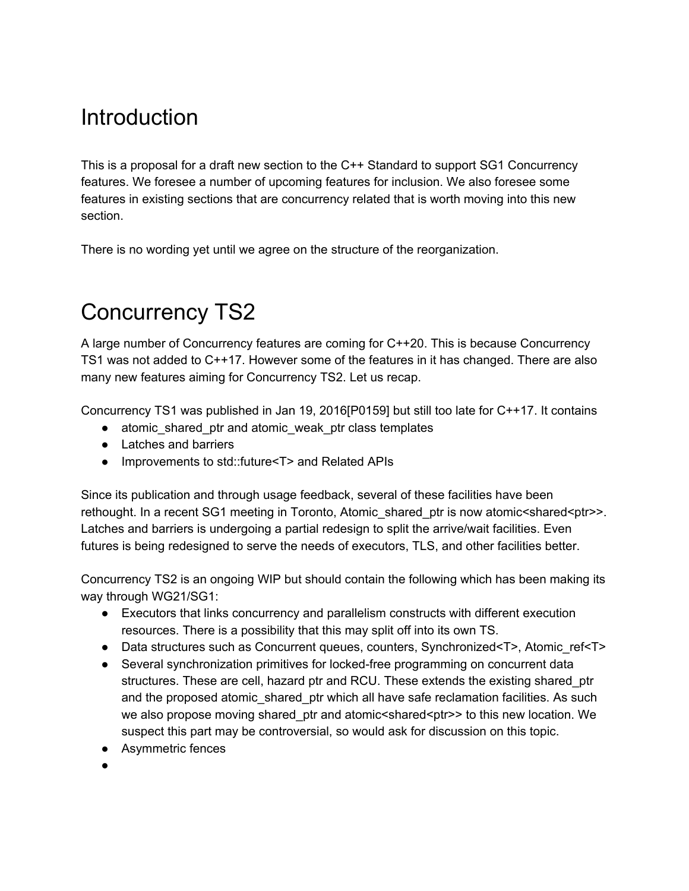## <span id="page-1-0"></span>**Introduction**

This is a proposal for a draft new section to the C++ Standard to support SG1 Concurrency features. We foresee a number of upcoming features for inclusion. We also foresee some features in existing sections that are concurrency related that is worth moving into this new section.

There is no wording yet until we agree on the structure of the reorganization.

# <span id="page-1-1"></span>Concurrency TS2

A large number of Concurrency features are coming for C++20. This is because Concurrency TS1 was not added to C++17. However some of the features in it has changed. There are also many new features aiming for Concurrency TS2. Let us recap.

Concurrency TS1 was published in Jan 19, 2016[P0159] but still too late for C++17. It contains

- atomic shared ptr and atomic weak ptr class templates
- Latches and barriers
- Improvements to std::future<T> and Related APIs

Since its publication and through usage feedback, several of these facilities have been rethought. In a recent SG1 meeting in Toronto, Atomic shared ptr is now atomic < shared < ptr> Latches and barriers is undergoing a partial redesign to split the arrive/wait facilities. Even futures is being redesigned to serve the needs of executors, TLS, and other facilities better.

Concurrency TS2 is an ongoing WIP but should contain the following which has been making its way through WG21/SG1:

- Executors that links concurrency and parallelism constructs with different execution resources. There is a possibility that this may split off into its own TS.
- Data structures such as Concurrent queues, counters, Synchronized<T>, Atomic\_ref<T>
- Several synchronization primitives for locked-free programming on concurrent data structures. These are cell, hazard ptr and RCU. These extends the existing shared\_ptr and the proposed atomic\_shared\_ptr which all have safe reclamation facilities. As such we also propose moving shared ptr and atomic<shared<ptr>>to this new location. We suspect this part may be controversial, so would ask for discussion on this topic.
- Asymmetric fences
- ●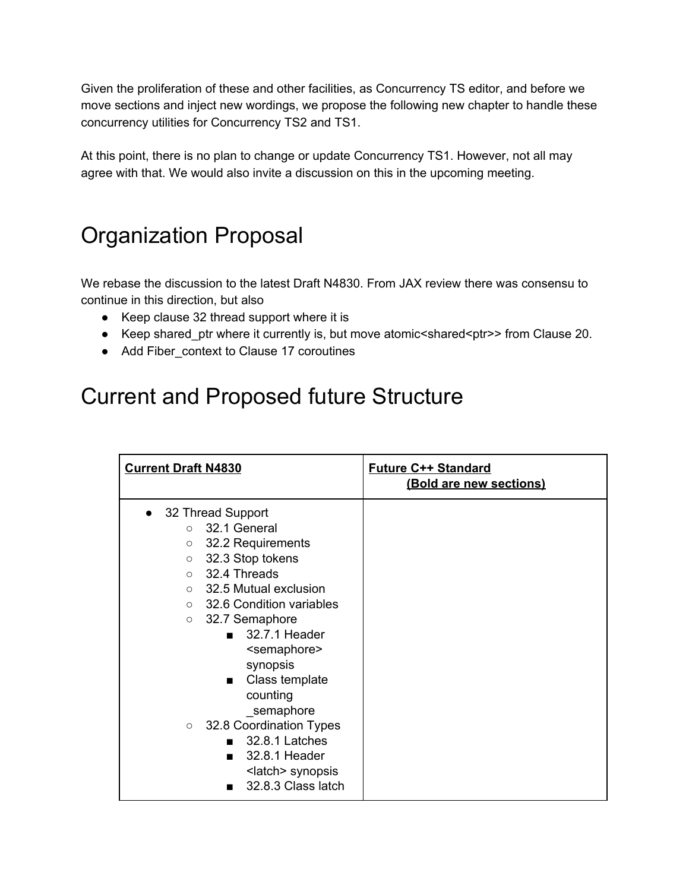Given the proliferation of these and other facilities, as Concurrency TS editor, and before we move sections and inject new wordings, we propose the following new chapter to handle these concurrency utilities for Concurrency TS2 and TS1.

At this point, there is no plan to change or update Concurrency TS1. However, not all may agree with that. We would also invite a discussion on this in the upcoming meeting.

#### <span id="page-2-0"></span>Organization Proposal

We rebase the discussion to the latest Draft N4830. From JAX review there was consensu to continue in this direction, but also

- Keep clause 32 thread support where it is
- Keep shared\_ptr where it currently is, but move atomic<shared<ptr>>from Clause 20.
- Add Fiber\_context to Clause 17 coroutines

## <span id="page-2-1"></span>Current and Proposed future Structure

| <b>Current Draft N4830</b>                                                                                                                                                                                                                                                                                                                                                                                                                                                                                                                            | <b>Future C++ Standard</b><br>(Bold are new sections) |
|-------------------------------------------------------------------------------------------------------------------------------------------------------------------------------------------------------------------------------------------------------------------------------------------------------------------------------------------------------------------------------------------------------------------------------------------------------------------------------------------------------------------------------------------------------|-------------------------------------------------------|
| • 32 Thread Support<br>32.1 General<br>$\Omega$<br>32.2 Requirements<br>$\circ$<br>32.3 Stop tokens<br>$\circ$<br>$\circ$ 32.4 Threads<br>$\circ$ 32.5 Mutual exclusion<br>$\circ$ 32.6 Condition variables<br>32.7 Semaphore<br>$\circ$<br>32.7.1 Header<br><semaphore><br/>synopsis<br/>Class template<br/>counting<br/>semaphore<br/>32.8 Coordination Types<br/><math>\circ</math><br/>32.8.1 Latches<br/>32.8.1 Header<br/><math>\mathbf{r}</math><br/><latch> synopsis<br/>32.8.3 Class latch<br/><math>\blacksquare</math></latch></semaphore> |                                                       |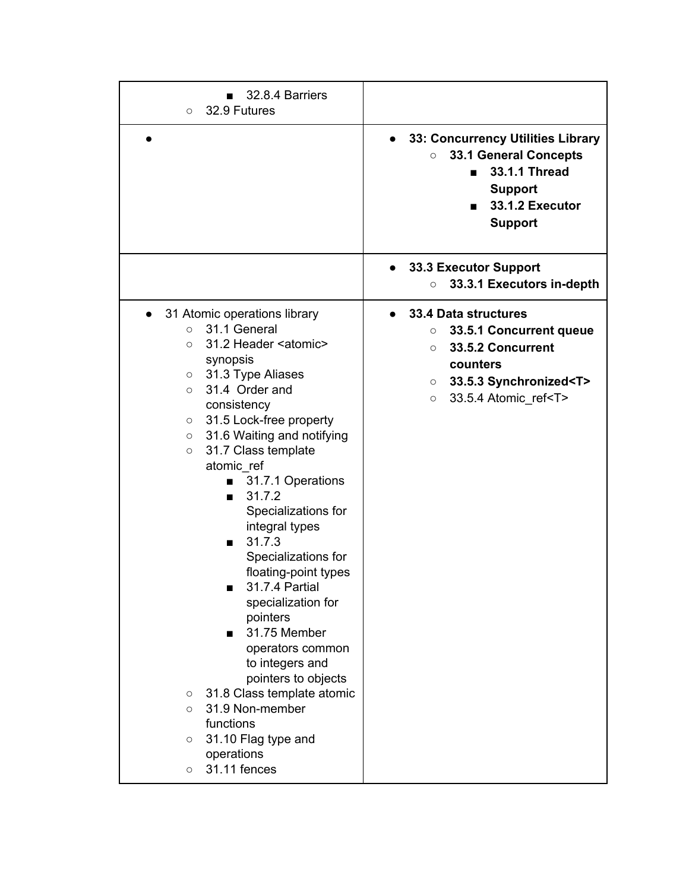| 32.8.4 Barriers<br>32.9 Futures<br>$\circ$                                                                                                                                                                                                                                                                                                                                                                                                                                                                                                                                                                                                                                                                                                                                                                                                                                                                                                                                                                       |                                                                                                                                                                                                                                   |
|------------------------------------------------------------------------------------------------------------------------------------------------------------------------------------------------------------------------------------------------------------------------------------------------------------------------------------------------------------------------------------------------------------------------------------------------------------------------------------------------------------------------------------------------------------------------------------------------------------------------------------------------------------------------------------------------------------------------------------------------------------------------------------------------------------------------------------------------------------------------------------------------------------------------------------------------------------------------------------------------------------------|-----------------------------------------------------------------------------------------------------------------------------------------------------------------------------------------------------------------------------------|
|                                                                                                                                                                                                                                                                                                                                                                                                                                                                                                                                                                                                                                                                                                                                                                                                                                                                                                                                                                                                                  | 33: Concurrency Utilities Library<br>33.1 General Concepts<br>$\circ$<br>33.1.1 Thread<br><b>Support</b><br>33.1.2 Executor<br><b>Support</b>                                                                                     |
|                                                                                                                                                                                                                                                                                                                                                                                                                                                                                                                                                                                                                                                                                                                                                                                                                                                                                                                                                                                                                  | <b>33.3 Executor Support</b><br>33.3.1 Executors in-depth<br>$\circ$                                                                                                                                                              |
| 31 Atomic operations library<br>31.1 General<br>$\circ$<br>31.2 Header <atomic><br/><math>\circ</math><br/>synopsis<br/>31.3 Type Aliases<br/><math>\circ</math><br/>31.4 Order and<br/><math>\circ</math><br/>consistency<br/>31.5 Lock-free property<br/><math display="inline">\circ</math><br/>31.6 Waiting and notifying<br/><math>\circ</math><br/>31.7 Class template<br/><math display="inline">\circ</math><br/>atomic_ref<br/>31.7.1 Operations<br/><math>\mathbf{r}</math><br/>31.7.2<br/>Specializations for<br/>integral types<br/>31.7.3<br/>Specializations for<br/>floating-point types<br/>31.7.4 Partial<br/>specialization for<br/>pointers<br/>31.75 Member<br/>operators common<br/>to integers and<br/>pointers to objects<br/>31.8 Class template atomic<br/><math display="inline">\circ</math><br/>31.9 Non-member<br/><math>\circ</math><br/>functions<br/>31.10 Flag type and<br/><math display="inline">\circ</math><br/>operations<br/>31.11 fences<br/><math>\circ</math></atomic> | 33.4 Data structures<br>33.5.1 Concurrent queue<br>$\circ$<br>33.5.2 Concurrent<br>$\circ$<br>counters<br>33.5.3 Synchronized <t><br/><math>\circ</math><br/>33.5.4 Atomic ref<t><br/><math display="inline">\circ</math></t></t> |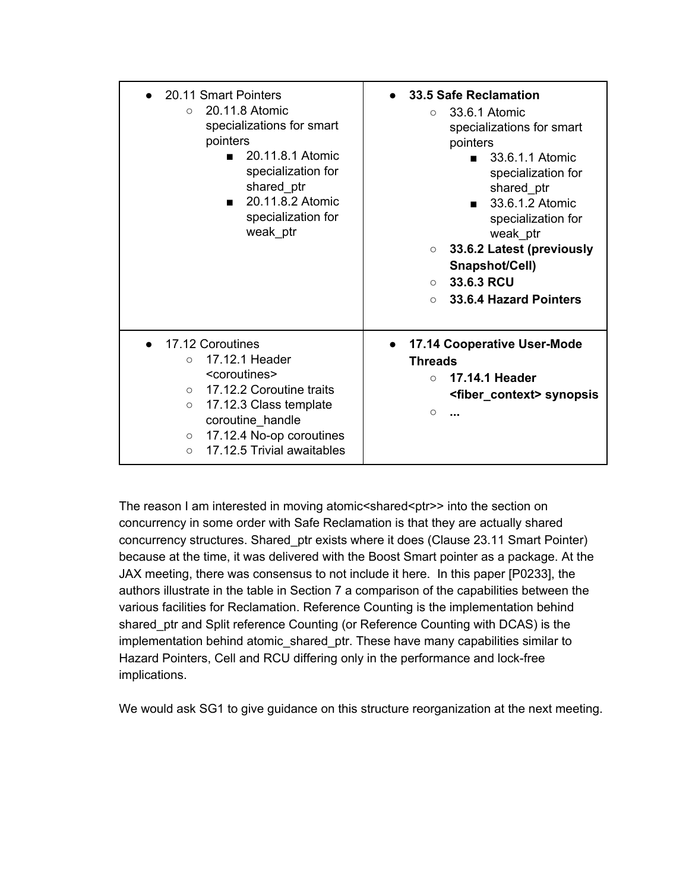| • 20.11 Smart Pointers<br>20.11.8 Atomic<br>$\Omega$<br>specializations for smart<br>pointers<br>20.11.8.1 Atomic<br>$\blacksquare$<br>specialization for<br>shared_ptr<br>20.11.8.2 Atomic<br>specialization for<br>weak ptr                                                                                   | 33.5 Safe Reclamation<br>33.6.1 Atomic<br>$\circ$<br>specializations for smart<br>pointers<br>$\blacksquare$ 33.6.1.1 Atomic<br>specialization for<br>shared ptr<br>33.6.1.2 Atomic<br>specialization for<br>weak ptr<br>33.6.2 Latest (previously<br>$\circ$<br>Snapshot/Cell)<br>33.6.3 RCU<br>$\bigcirc$<br>33.6.4 Hazard Pointers<br>$\circ$ |
|-----------------------------------------------------------------------------------------------------------------------------------------------------------------------------------------------------------------------------------------------------------------------------------------------------------------|--------------------------------------------------------------------------------------------------------------------------------------------------------------------------------------------------------------------------------------------------------------------------------------------------------------------------------------------------|
| 17.12 Coroutines<br>17.12.1 Header<br>$\circ$<br><coroutines><br/>17.12.2 Coroutine traits<br/><math>\circ</math><br/>17.12.3 Class template<br/><math>\circ</math><br/>coroutine_handle<br/>17.12.4 No-op coroutines<br/><math>\circ</math><br/>17.12.5 Trivial awaitables<br/><math>\circ</math></coroutines> | <b>17.14 Cooperative User-Mode</b><br><b>Threads</b><br>17.14.1 Header<br>$\bigcirc$<br><fiber_context> synopsis<br/><math>\circ</math></fiber_context>                                                                                                                                                                                          |

The reason I am interested in moving atomic<shared<ptr>>into the section on concurrency in some order with Safe Reclamation is that they are actually shared concurrency structures. Shared\_ptr exists where it does (Clause 23.11 Smart Pointer) because at the time, it was delivered with the Boost Smart pointer as a package. At the JAX meeting, there was consensus to not include it here. In this paper [P0233], the authors illustrate in the table in Section 7 a comparison of the capabilities between the various facilities for Reclamation. Reference Counting is the implementation behind shared\_ptr and Split reference Counting (or Reference Counting with DCAS) is the implementation behind atomic\_shared\_ptr. These have many capabilities similar to Hazard Pointers, Cell and RCU differing only in the performance and lock-free implications.

We would ask SG1 to give guidance on this structure reorganization at the next meeting.